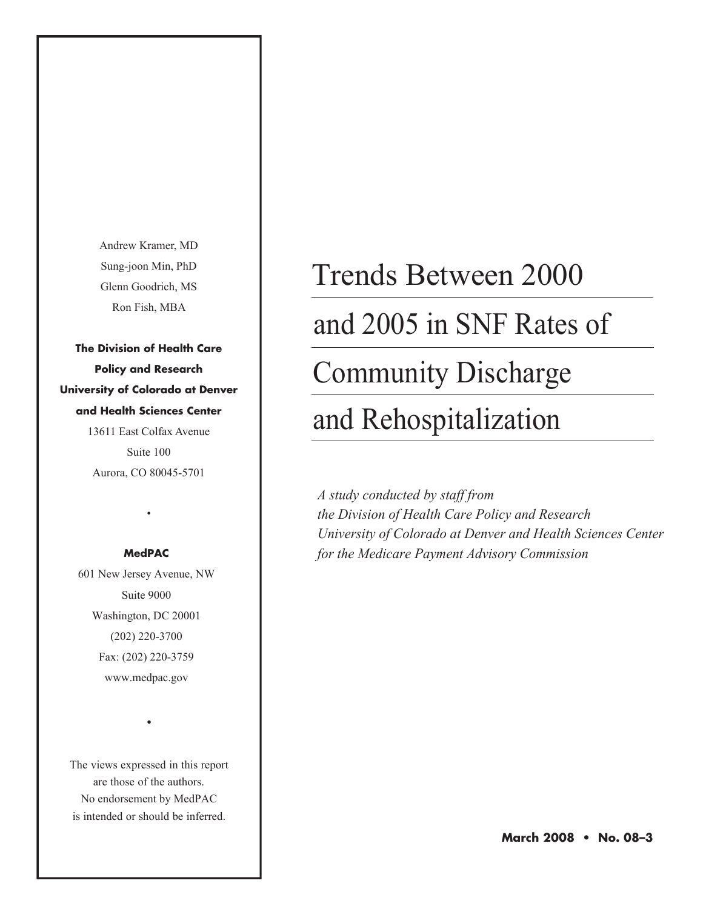Andrew Kramer, MD Sung-joon Min, PhD Glenn Goodrich, MS Ron Fish, MBA

**The Division of Health Care Policy and Research University of Colorado at Denver and Health Sciences Center** 13611 East Colfax Avenue

> Suite 100 Aurora, CO 80045-5701

#### **MedPAC**

•

601 New Jersey Avenue, NW Suite 9000 Washington, DC 20001 (202) 220-3700 Fax: (202) 220-3759 www.medpac.gov

The views expressed in this report are those of the authors. No endorsement by MedPAC is intended or should be inferred.

•

## Trends Between 2000

## and 2005 in SNF Rates of

## Community Discharge

## and Rehospitalization

*A study conducted by staff from the Division of Health Care Policy and Research University of Colorado at Denver and Health Sciences Center for the Medicare Payment Advisory Commission*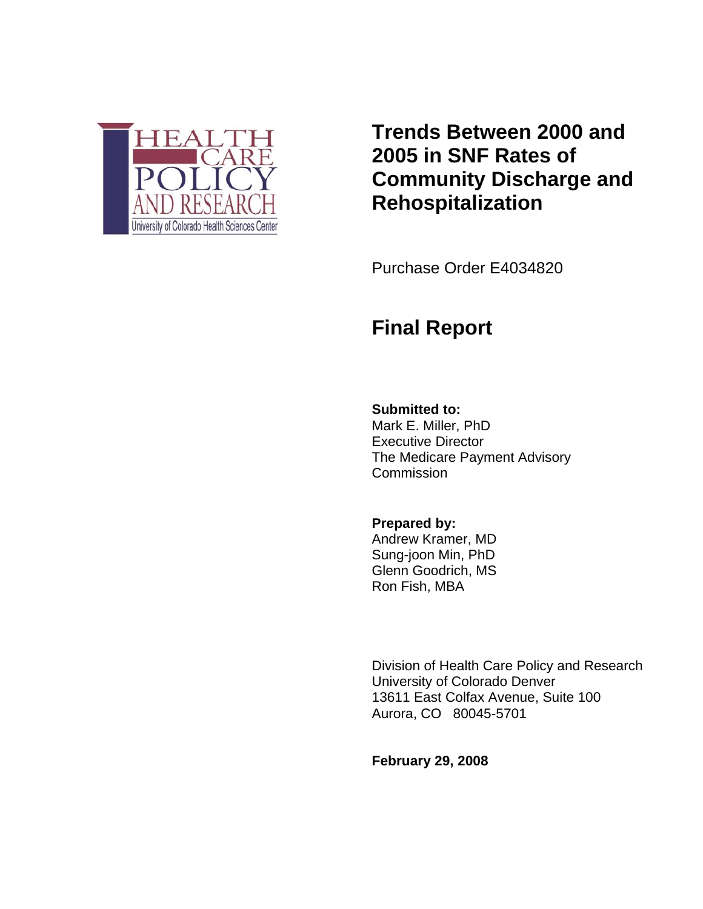

**Trends Between 2000 and 2005 in SNF Rates of Community Discharge and Rehospitalization**

Purchase Order E4034820

### **Final Report**

#### **Submitted to:**

Mark E. Miller, PhD Executive Director The Medicare Payment Advisory **Commission** 

**Prepared by:**  Andrew Kramer, MD Sung-joon Min, PhD Glenn Goodrich, MS Ron Fish, MBA

Division of Health Care Policy and Research University of Colorado Denver 13611 East Colfax Avenue, Suite 100 Aurora, CO 80045-5701

**February 29, 2008**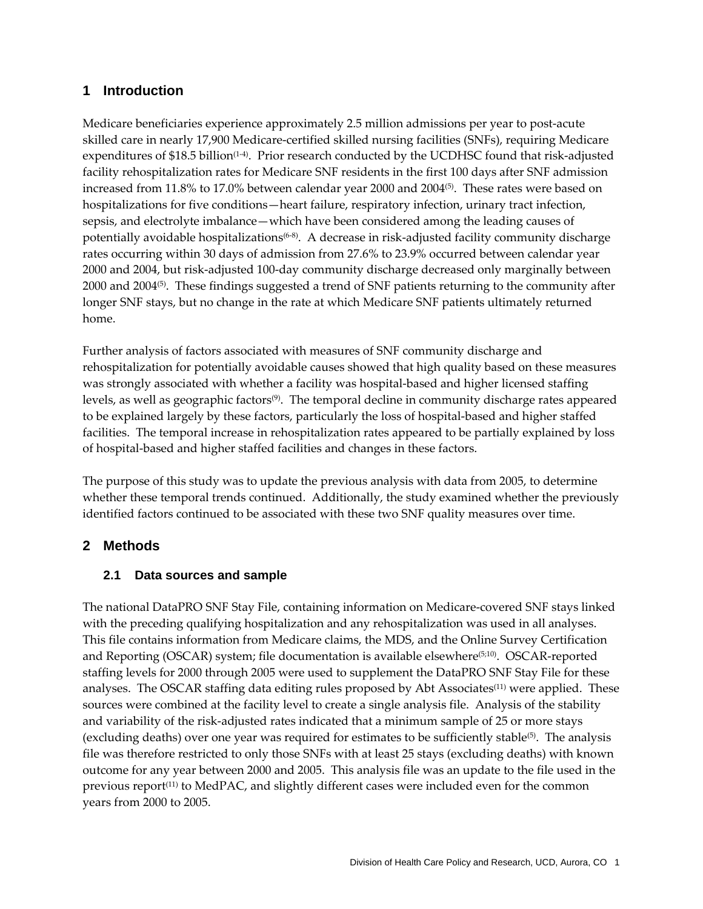#### **1 Introduction**

Medicare beneficiaries experience approximately 2.5 million admissions per year to post-acute skilled care in nearly 17,900 Medicare‐certified skilled nursing facilities (SNFs), requiring Medicare expenditures of  $$18.5$  billion<sup>(1-4)</sup>. Prior research conducted by the UCDHSC found that risk-adjusted facility rehospitalization rates for Medicare SNF residents in the first 100 days after SNF admission increased from 11.8% to 17.0% between calendar year 2000 and 2004<sup>(5)</sup>. These rates were based on hospitalizations for five conditions—heart failure, respiratory infection, urinary tract infection, sepsis, and electrolyte imbalance—which have been considered among the leading causes of potentially avoidable hospitalizations<sup>(6-8)</sup>. A decrease in risk-adjusted facility community discharge rates occurring within 30 days of admission from 27.6% to 23.9% occurred between calendar year 2000 and 2004, but risk‐adjusted 100‐day community discharge decreased only marginally between 2000 and 2004<sup>(5)</sup>. These findings suggested a trend of SNF patients returning to the community after longer SNF stays, but no change in the rate at which Medicare SNF patients ultimately returned home.

Further analysis of factors associated with measures of SNF community discharge and rehospitalization for potentially avoidable causes showed that high quality based on these measures was strongly associated with whether a facility was hospital-based and higher licensed staffing levels, as well as geographic factors<sup>(9)</sup>. The temporal decline in community discharge rates appeared to be explained largely by these factors, particularly the loss of hospital‐based and higher staffed facilities. The temporal increase in rehospitalization rates appeared to be partially explained by loss of hospital‐based and higher staffed facilities and changes in these factors.

The purpose of this study was to update the previous analysis with data from 2005, to determine whether these temporal trends continued. Additionally, the study examined whether the previously identified factors continued to be associated with these two SNF quality measures over time.

#### **2 Methods**

#### **2.1 Data sources and sample**

The national DataPRO SNF Stay File, containing information on Medicare‐covered SNF stays linked with the preceding qualifying hospitalization and any rehospitalization was used in all analyses. This file contains information from Medicare claims, the MDS, and the Online Survey Certification and Reporting (OSCAR) system; file documentation is available elsewhere<sup>(5;10)</sup>. OSCAR-reported staffing levels for 2000 through 2005 were used to supplement the DataPRO SNF Stay File for these analyses. The OSCAR staffing data editing rules proposed by Abt Associates<sup>(11)</sup> were applied. These sources were combined at the facility level to create a single analysis file. Analysis of the stability and variability of the risk‐adjusted rates indicated that a minimum sample of 25 or more stays (excluding deaths) over one year was required for estimates to be sufficiently stable<sup>(5)</sup>. The analysis file was therefore restricted to only those SNFs with at least 25 stays (excluding deaths) with known outcome for any year between 2000 and 2005. This analysis file was an update to the file used in the previous report(11) to MedPAC, and slightly different cases were included even for the common years from 2000 to 2005.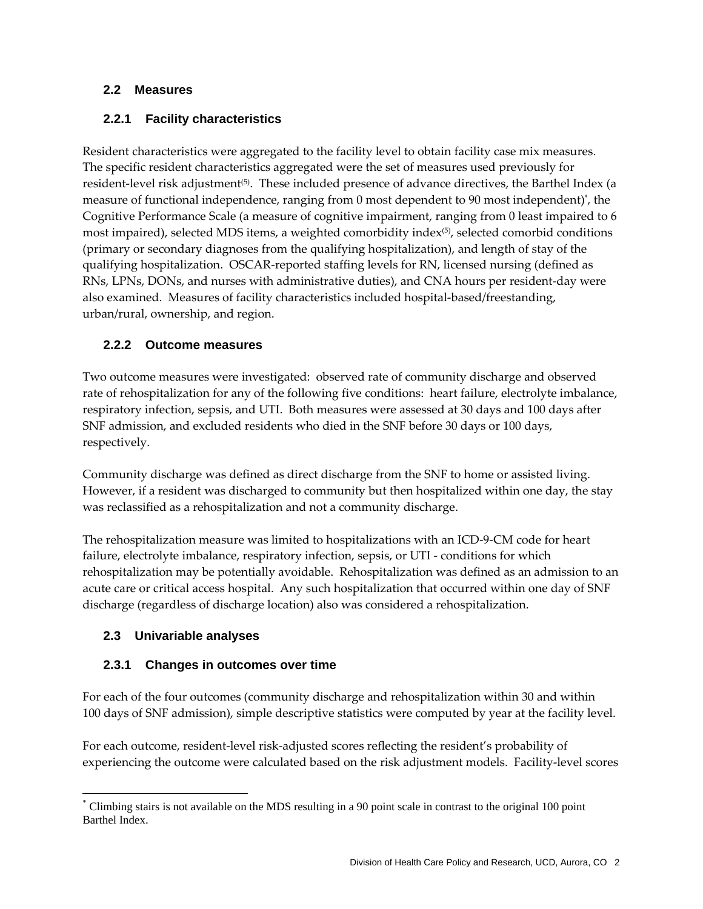#### **2.2 Measures**

#### **2.2.1 Facility characteristics**

Resident characteristics were aggregated to the facility level to obtain facility case mix measures. The specific resident characteristics aggregated were the set of measures used previously for resident-level risk adjustment<sup>(5)</sup>. These included presence of advance directives, the Barthel Index (a measure of functional independence, ranging from 0 most dependent to 90 most independent)\* , the Cognitive Performance Scale (a measure of cognitive impairment, ranging from 0 least impaired to 6 most impaired), selected MDS items, a weighted comorbidity index<sup>(5)</sup>, selected comorbid conditions (primary or secondary diagnoses from the qualifying hospitalization), and length of stay of the qualifying hospitalization. OSCAR‐reported staffing levels for RN, licensed nursing (defined as RNs, LPNs, DONs, and nurses with administrative duties), and CNA hours per resident‐day were also examined. Measures of facility characteristics included hospital‐based/freestanding, urban/rural, ownership, and region.

#### **2.2.2 Outcome measures**

Two outcome measures were investigated: observed rate of community discharge and observed rate of rehospitalization for any of the following five conditions: heart failure, electrolyte imbalance, respiratory infection, sepsis, and UTI. Both measures were assessed at 30 days and 100 days after SNF admission, and excluded residents who died in the SNF before 30 days or 100 days, respectively.

Community discharge was defined as direct discharge from the SNF to home or assisted living. However, if a resident was discharged to community but then hospitalized within one day, the stay was reclassified as a rehospitalization and not a community discharge.

The rehospitalization measure was limited to hospitalizations with an ICD‐9‐CM code for heart failure, electrolyte imbalance, respiratory infection, sepsis, or UTI ‐ conditions for which rehospitalization may be potentially avoidable. Rehospitalization was defined as an admission to an acute care or critical access hospital. Any such hospitalization that occurred within one day of SNF discharge (regardless of discharge location) also was considered a rehospitalization.

#### **2.3 Univariable analyses**

 $\overline{a}$ 

#### **2.3.1 Changes in outcomes over time**

For each of the four outcomes (community discharge and rehospitalization within 30 and within 100 days of SNF admission), simple descriptive statistics were computed by year at the facility level.

For each outcome, resident-level risk-adjusted scores reflecting the resident's probability of experiencing the outcome were calculated based on the risk adjustment models. Facility-level scores

<sup>\*</sup> Climbing stairs is not available on the MDS resulting in a 90 point scale in contrast to the original 100 point Barthel Index.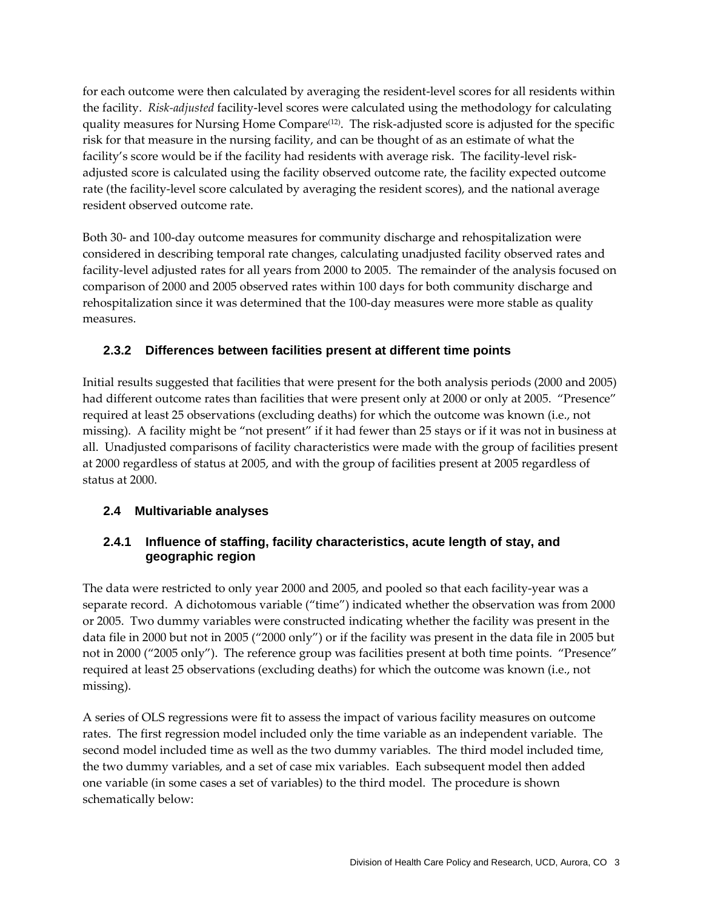for each outcome were then calculated by averaging the resident-level scores for all residents within the facility. *Risk‐adjusted* facility‐level scores were calculated using the methodology for calculating quality measures for Nursing Home Compare<sup>(12)</sup>. The risk-adjusted score is adjusted for the specific risk for that measure in the nursing facility, and can be thought of as an estimate of what the facility's score would be if the facility had residents with average risk. The facility-level riskadjusted score is calculated using the facility observed outcome rate, the facility expected outcome rate (the facility-level score calculated by averaging the resident scores), and the national average resident observed outcome rate.

Both 30‐ and 100‐day outcome measures for community discharge and rehospitalization were considered in describing temporal rate changes, calculating unadjusted facility observed rates and facility-level adjusted rates for all years from 2000 to 2005. The remainder of the analysis focused on comparison of 2000 and 2005 observed rates within 100 days for both community discharge and rehospitalization since it was determined that the 100‐day measures were more stable as quality measures.

#### **2.3.2 Differences between facilities present at different time points**

Initial results suggested that facilities that were present for the both analysis periods (2000 and 2005) had different outcome rates than facilities that were present only at 2000 or only at 2005. "Presence" required at least 25 observations (excluding deaths) for which the outcome was known (i.e., not missing). A facility might be "not present" if it had fewer than 25 stays or if it was not in business at all. Unadjusted comparisons of facility characteristics were made with the group of facilities present at 2000 regardless of status at 2005, and with the group of facilities present at 2005 regardless of status at 2000.

#### **2.4 Multivariable analyses**

#### **2.4.1 Influence of staffing, facility characteristics, acute length of stay, and geographic region**

The data were restricted to only year 2000 and 2005, and pooled so that each facility‐year was a separate record. A dichotomous variable ("time") indicated whether the observation was from 2000 or 2005. Two dummy variables were constructed indicating whether the facility was present in the data file in 2000 but not in 2005 ("2000 only") or if the facility was present in the data file in 2005 but not in 2000 ("2005 only"). The reference group was facilities present at both time points. "Presence" required at least 25 observations (excluding deaths) for which the outcome was known (i.e., not missing).

A series of OLS regressions were fit to assess the impact of various facility measures on outcome rates. The first regression model included only the time variable as an independent variable. The second model included time as well as the two dummy variables. The third model included time, the two dummy variables, and a set of case mix variables. Each subsequent model then added one variable (in some cases a set of variables) to the third model. The procedure is shown schematically below: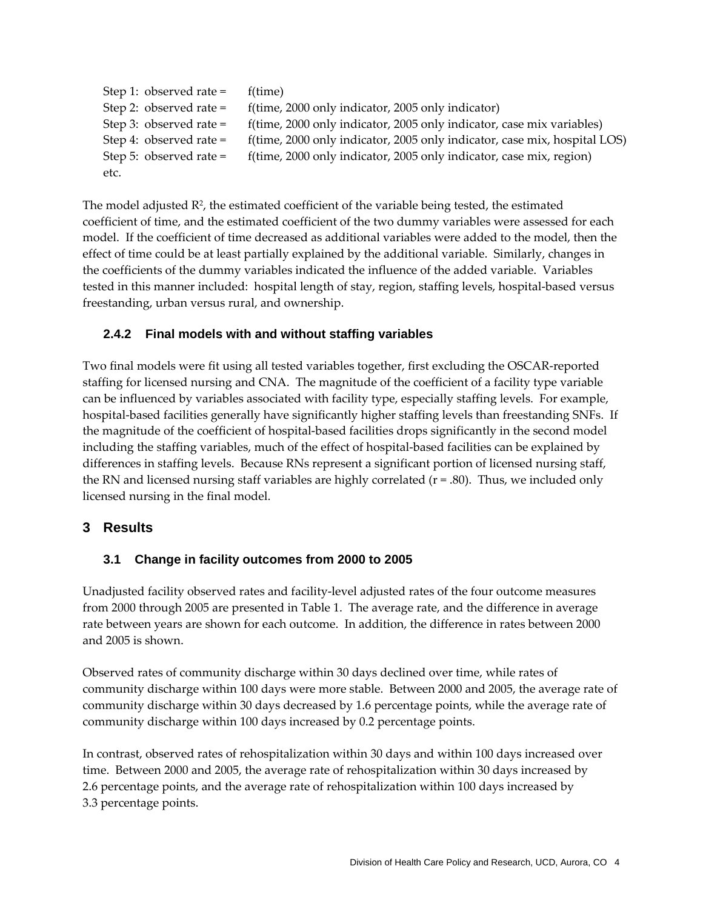| Step 1: observed rate $=$ | f(time)                                                                   |
|---------------------------|---------------------------------------------------------------------------|
| Step 2: observed rate $=$ | f(time, 2000 only indicator, 2005 only indicator)                         |
| Step 3: observed rate $=$ | f(time, 2000 only indicator, 2005 only indicator, case mix variables)     |
| Step 4: observed rate $=$ | f(time, 2000 only indicator, 2005 only indicator, case mix, hospital LOS) |
| Step 5: observed rate $=$ | f(time, 2000 only indicator, 2005 only indicator, case mix, region)       |
| etc.                      |                                                                           |

The model adjusted  $\mathbb{R}^2$ , the estimated coefficient of the variable being tested, the estimated coefficient of time, and the estimated coefficient of the two dummy variables were assessed for each model. If the coefficient of time decreased as additional variables were added to the model, then the effect of time could be at least partially explained by the additional variable. Similarly, changes in the coefficients of the dummy variables indicated the influence of the added variable. Variables tested in this manner included: hospital length of stay, region, staffing levels, hospital-based versus freestanding, urban versus rural, and ownership.

#### **2.4.2 Final models with and without staffing variables**

Two final models were fit using all tested variables together, first excluding the OSCAR‐reported staffing for licensed nursing and CNA. The magnitude of the coefficient of a facility type variable can be influenced by variables associated with facility type, especially staffing levels. For example, hospital-based facilities generally have significantly higher staffing levels than freestanding SNFs. If the magnitude of the coefficient of hospital‐based facilities drops significantly in the second model including the staffing variables, much of the effect of hospital‐based facilities can be explained by differences in staffing levels. Because RNs represent a significant portion of licensed nursing staff, the RN and licensed nursing staff variables are highly correlated ( $r = .80$ ). Thus, we included only licensed nursing in the final model.

#### **3 Results**

#### **3.1 Change in facility outcomes from 2000 to 2005**

Unadjusted facility observed rates and facility‐level adjusted rates of the four outcome measures from 2000 through 2005 are presented in Table 1. The average rate, and the difference in average rate between years are shown for each outcome. In addition, the difference in rates between 2000 and 2005 is shown.

Observed rates of community discharge within 30 days declined over time, while rates of community discharge within 100 days were more stable. Between 2000 and 2005, the average rate of community discharge within 30 days decreased by 1.6 percentage points, while the average rate of community discharge within 100 days increased by 0.2 percentage points.

In contrast, observed rates of rehospitalization within 30 days and within 100 days increased over time. Between 2000 and 2005, the average rate of rehospitalization within 30 days increased by 2.6 percentage points, and the average rate of rehospitalization within 100 days increased by 3.3 percentage points.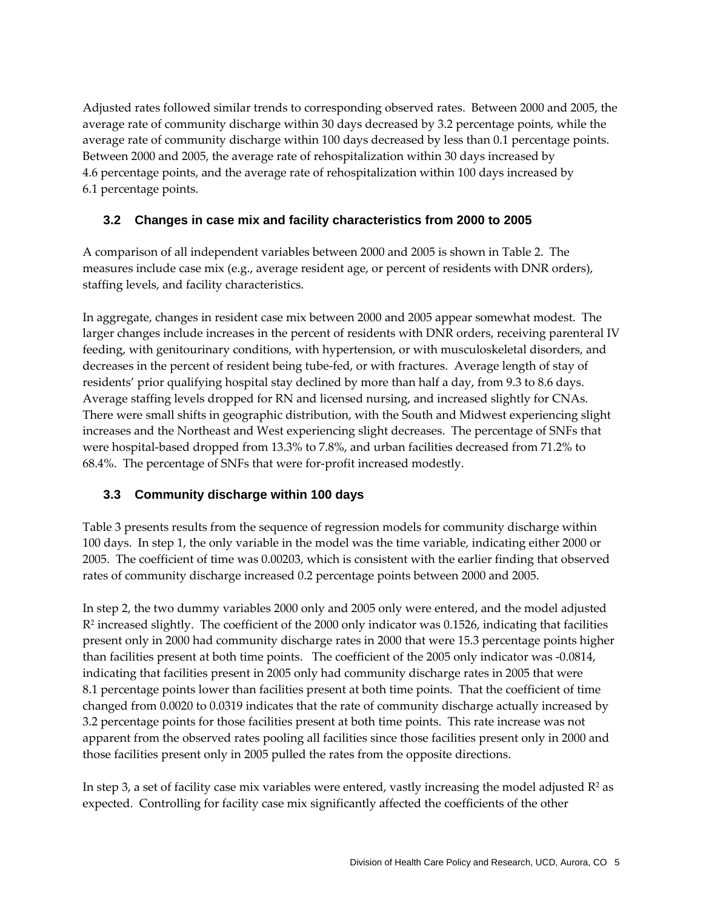Adjusted rates followed similar trends to corresponding observed rates. Between 2000 and 2005, the average rate of community discharge within 30 days decreased by 3.2 percentage points, while the average rate of community discharge within 100 days decreased by less than 0.1 percentage points. Between 2000 and 2005, the average rate of rehospitalization within 30 days increased by 4.6 percentage points, and the average rate of rehospitalization within 100 days increased by 6.1 percentage points.

#### **3.2 Changes in case mix and facility characteristics from 2000 to 2005**

A comparison of all independent variables between 2000 and 2005 is shown in Table 2. The measures include case mix (e.g., average resident age, or percent of residents with DNR orders), staffing levels, and facility characteristics.

In aggregate, changes in resident case mix between 2000 and 2005 appear somewhat modest. The larger changes include increases in the percent of residents with DNR orders, receiving parenteral IV feeding, with genitourinary conditions, with hypertension, or with musculoskeletal disorders, and decreases in the percent of resident being tube‐fed, or with fractures. Average length of stay of residents' prior qualifying hospital stay declined by more than half a day, from 9.3 to 8.6 days. Average staffing levels dropped for RN and licensed nursing, and increased slightly for CNAs. There were small shifts in geographic distribution, with the South and Midwest experiencing slight increases and the Northeast and West experiencing slight decreases. The percentage of SNFs that were hospital-based dropped from 13.3% to 7.8%, and urban facilities decreased from 71.2% to 68.4%. The percentage of SNFs that were for‐profit increased modestly.

#### **3.3 Community discharge within 100 days**

Table 3 presents results from the sequence of regression models for community discharge within 100 days. In step 1, the only variable in the model was the time variable, indicating either 2000 or 2005. The coefficient of time was 0.00203, which is consistent with the earlier finding that observed rates of community discharge increased 0.2 percentage points between 2000 and 2005.

In step 2, the two dummy variables 2000 only and 2005 only were entered, and the model adjusted R<sup>2</sup> increased slightly. The coefficient of the 2000 only indicator was 0.1526, indicating that facilities present only in 2000 had community discharge rates in 2000 that were 15.3 percentage points higher than facilities present at both time points. The coefficient of the 2005 only indicator was ‐0.0814, indicating that facilities present in 2005 only had community discharge rates in 2005 that were 8.1 percentage points lower than facilities present at both time points. That the coefficient of time changed from 0.0020 to 0.0319 indicates that the rate of community discharge actually increased by 3.2 percentage points for those facilities present at both time points. This rate increase was not apparent from the observed rates pooling all facilities since those facilities present only in 2000 and those facilities present only in 2005 pulled the rates from the opposite directions.

In step 3, a set of facility case mix variables were entered, vastly increasing the model adjusted  $\mathbb{R}^2$  as expected. Controlling for facility case mix significantly affected the coefficients of the other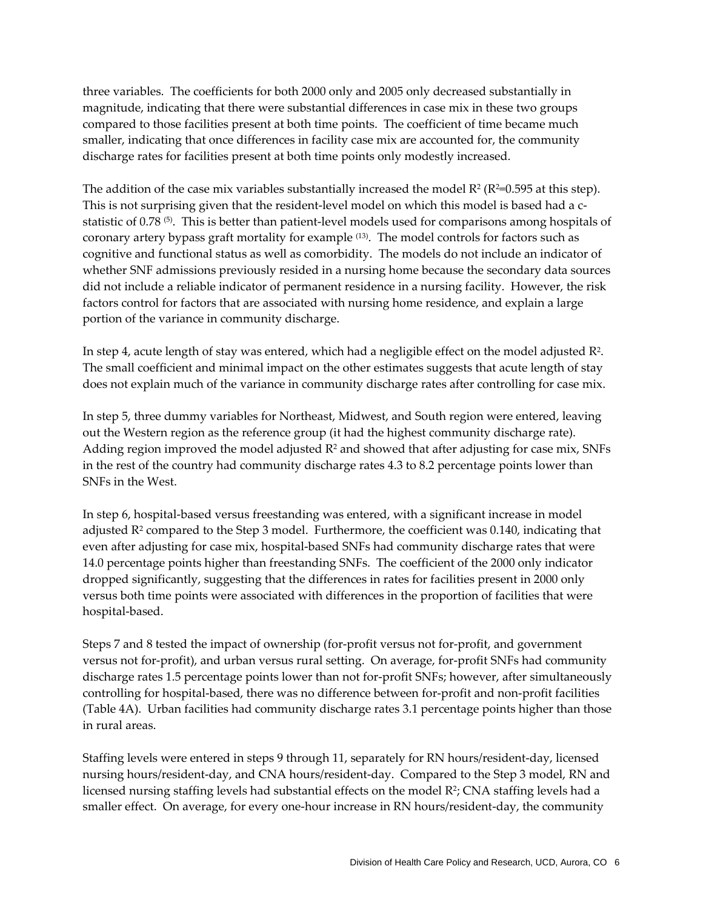three variables. The coefficients for both 2000 only and 2005 only decreased substantially in magnitude, indicating that there were substantial differences in case mix in these two groups compared to those facilities present at both time points. The coefficient of time became much smaller, indicating that once differences in facility case mix are accounted for, the community discharge rates for facilities present at both time points only modestly increased.

The addition of the case mix variables substantially increased the model  $R^2$  ( $R^2$ =0.595 at this step). This is not surprising given that the resident-level model on which this model is based had a cstatistic of 0.78<sup>(5)</sup>. This is better than patient-level models used for comparisons among hospitals of coronary artery bypass graft mortality for example (13). The model controls for factors such as cognitive and functional status as well as comorbidity. The models do not include an indicator of whether SNF admissions previously resided in a nursing home because the secondary data sources did not include a reliable indicator of permanent residence in a nursing facility. However, the risk factors control for factors that are associated with nursing home residence, and explain a large portion of the variance in community discharge.

In step 4, acute length of stay was entered, which had a negligible effect on the model adjusted R2. The small coefficient and minimal impact on the other estimates suggests that acute length of stay does not explain much of the variance in community discharge rates after controlling for case mix.

In step 5, three dummy variables for Northeast, Midwest, and South region were entered, leaving out the Western region as the reference group (it had the highest community discharge rate). Adding region improved the model adjusted  $R<sup>2</sup>$  and showed that after adjusting for case mix, SNFs in the rest of the country had community discharge rates 4.3 to 8.2 percentage points lower than SNFs in the West.

In step 6, hospital-based versus freestanding was entered, with a significant increase in model adjusted R<sup>2</sup> compared to the Step 3 model. Furthermore, the coefficient was 0.140, indicating that even after adjusting for case mix, hospital-based SNFs had community discharge rates that were 14.0 percentage points higher than freestanding SNFs. The coefficient of the 2000 only indicator dropped significantly, suggesting that the differences in rates for facilities present in 2000 only versus both time points were associated with differences in the proportion of facilities that were hospital‐based.

Steps 7 and 8 tested the impact of ownership (for-profit versus not for-profit, and government versus not for‐profit), and urban versus rural setting. On average, for‐profit SNFs had community discharge rates 1.5 percentage points lower than not for-profit SNFs; however, after simultaneously controlling for hospital‐based, there was no difference between for‐profit and non‐profit facilities (Table 4A). Urban facilities had community discharge rates 3.1 percentage points higher than those in rural areas.

Staffing levels were entered in steps 9 through 11, separately for RN hours/resident‐day, licensed nursing hours/resident‐day, and CNA hours/resident‐day. Compared to the Step 3 model, RN and licensed nursing staffing levels had substantial effects on the model  $\mathbb{R}^2$ ; CNA staffing levels had a smaller effect. On average, for every one-hour increase in RN hours/resident-day, the community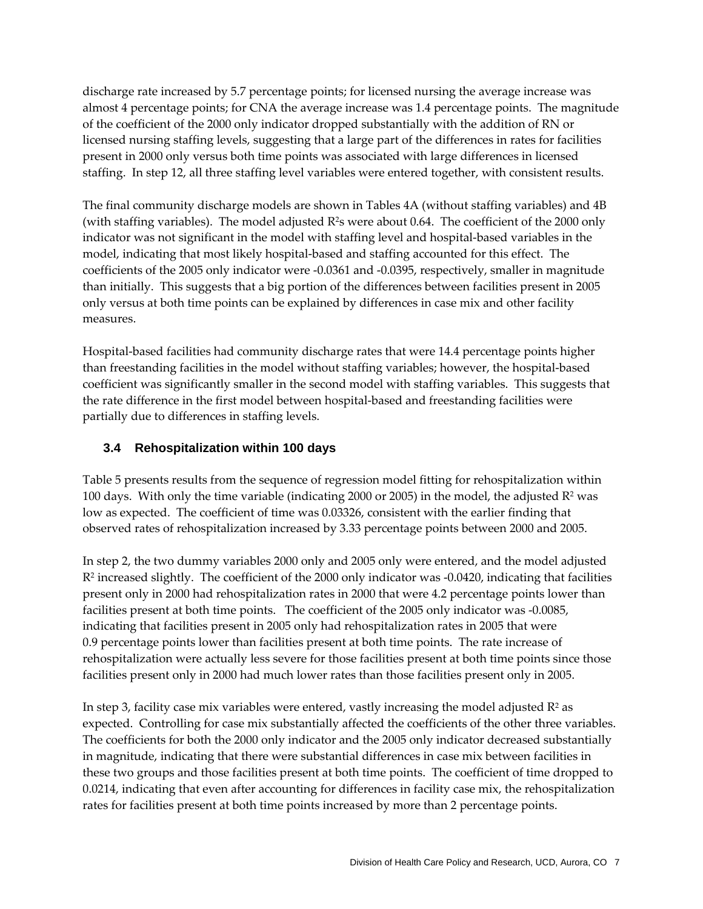discharge rate increased by 5.7 percentage points; for licensed nursing the average increase was almost 4 percentage points; for CNA the average increase was 1.4 percentage points. The magnitude of the coefficient of the 2000 only indicator dropped substantially with the addition of RN or licensed nursing staffing levels, suggesting that a large part of the differences in rates for facilities present in 2000 only versus both time points was associated with large differences in licensed staffing. In step 12, all three staffing level variables were entered together, with consistent results.

The final community discharge models are shown in Tables 4A (without staffing variables) and 4B (with staffing variables). The model adjusted  $R^2$ s were about 0.64. The coefficient of the 2000 only indicator was not significant in the model with staffing level and hospital-based variables in the model, indicating that most likely hospital-based and staffing accounted for this effect. The coefficients of the 2005 only indicator were ‐0.0361 and ‐0.0395, respectively, smaller in magnitude than initially. This suggests that a big portion of the differences between facilities present in 2005 only versus at both time points can be explained by differences in case mix and other facility measures.

Hospital-based facilities had community discharge rates that were 14.4 percentage points higher than freestanding facilities in the model without staffing variables; however, the hospital‐based coefficient was significantly smaller in the second model with staffing variables. This suggests that the rate difference in the first model between hospital‐based and freestanding facilities were partially due to differences in staffing levels.

#### **3.4 Rehospitalization within 100 days**

Table 5 presents results from the sequence of regression model fitting for rehospitalization within 100 days. With only the time variable (indicating 2000 or 2005) in the model, the adjusted  $R^2$  was low as expected. The coefficient of time was 0.03326, consistent with the earlier finding that observed rates of rehospitalization increased by 3.33 percentage points between 2000 and 2005.

In step 2, the two dummy variables 2000 only and 2005 only were entered, and the model adjusted  $R<sup>2</sup>$  increased slightly. The coefficient of the 2000 only indicator was -0.0420, indicating that facilities present only in 2000 had rehospitalization rates in 2000 that were 4.2 percentage points lower than facilities present at both time points. The coefficient of the 2005 only indicator was ‐0.0085, indicating that facilities present in 2005 only had rehospitalization rates in 2005 that were 0.9 percentage points lower than facilities present at both time points. The rate increase of rehospitalization were actually less severe for those facilities present at both time points since those facilities present only in 2000 had much lower rates than those facilities present only in 2005.

In step 3, facility case mix variables were entered, vastly increasing the model adjusted  $R^2$  as expected. Controlling for case mix substantially affected the coefficients of the other three variables. The coefficients for both the 2000 only indicator and the 2005 only indicator decreased substantially in magnitude, indicating that there were substantial differences in case mix between facilities in these two groups and those facilities present at both time points. The coefficient of time dropped to 0.0214, indicating that even after accounting for differences in facility case mix, the rehospitalization rates for facilities present at both time points increased by more than 2 percentage points.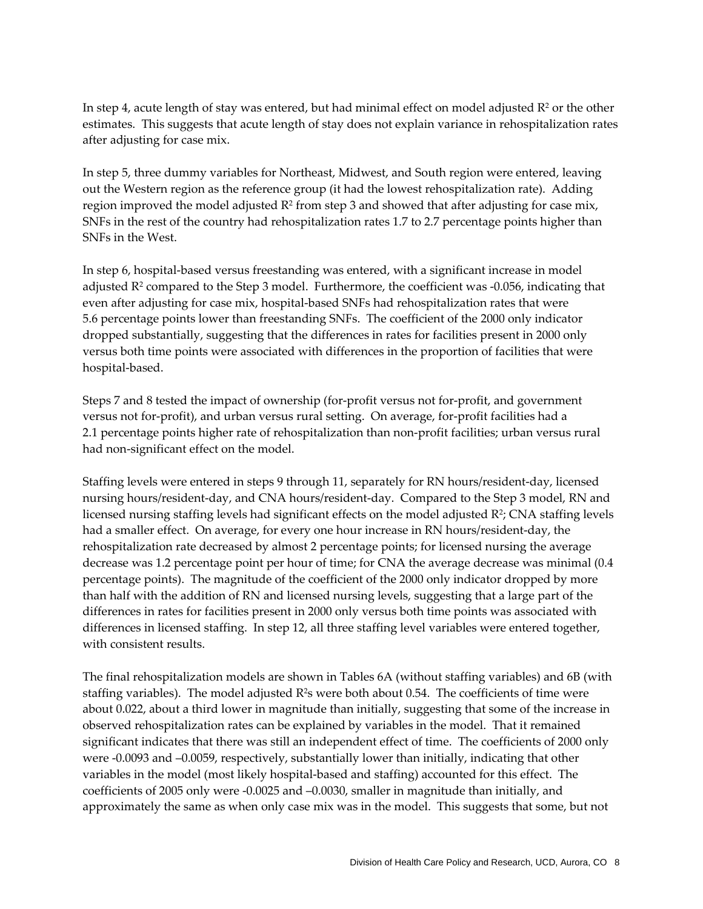In step 4, acute length of stay was entered, but had minimal effect on model adjusted  $R<sup>2</sup>$  or the other estimates. This suggests that acute length of stay does not explain variance in rehospitalization rates after adjusting for case mix.

In step 5, three dummy variables for Northeast, Midwest, and South region were entered, leaving out the Western region as the reference group (it had the lowest rehospitalization rate). Adding region improved the model adjusted  $R^2$  from step 3 and showed that after adjusting for case mix, SNFs in the rest of the country had rehospitalization rates 1.7 to 2.7 percentage points higher than SNFs in the West.

In step 6, hospital-based versus freestanding was entered, with a significant increase in model adjusted  $R<sup>2</sup>$  compared to the Step 3 model. Furthermore, the coefficient was  $-0.056$ , indicating that even after adjusting for case mix, hospital-based SNFs had rehospitalization rates that were 5.6 percentage points lower than freestanding SNFs. The coefficient of the 2000 only indicator dropped substantially, suggesting that the differences in rates for facilities present in 2000 only versus both time points were associated with differences in the proportion of facilities that were hospital‐based.

Steps 7 and 8 tested the impact of ownership (for-profit versus not for-profit, and government versus not for‐profit), and urban versus rural setting. On average, for‐profit facilities had a 2.1 percentage points higher rate of rehospitalization than non‐profit facilities; urban versus rural had non‐significant effect on the model.

Staffing levels were entered in steps 9 through 11, separately for RN hours/resident‐day, licensed nursing hours/resident‐day, and CNA hours/resident‐day. Compared to the Step 3 model, RN and licensed nursing staffing levels had significant effects on the model adjusted R2; CNA staffing levels had a smaller effect. On average, for every one hour increase in RN hours/resident-day, the rehospitalization rate decreased by almost 2 percentage points; for licensed nursing the average decrease was 1.2 percentage point per hour of time; for CNA the average decrease was minimal (0.4 percentage points). The magnitude of the coefficient of the 2000 only indicator dropped by more than half with the addition of RN and licensed nursing levels, suggesting that a large part of the differences in rates for facilities present in 2000 only versus both time points was associated with differences in licensed staffing. In step 12, all three staffing level variables were entered together, with consistent results.

The final rehospitalization models are shown in Tables 6A (without staffing variables) and 6B (with staffing variables). The model adjusted R<sup>2</sup>s were both about 0.54. The coefficients of time were about 0.022, about a third lower in magnitude than initially, suggesting that some of the increase in observed rehospitalization rates can be explained by variables in the model. That it remained significant indicates that there was still an independent effect of time. The coefficients of 2000 only were ‐0.0093 and –0.0059, respectively, substantially lower than initially, indicating that other variables in the model (most likely hospital‐based and staffing) accounted for this effect. The coefficients of 2005 only were ‐0.0025 and –0.0030, smaller in magnitude than initially, and approximately the same as when only case mix was in the model. This suggests that some, but not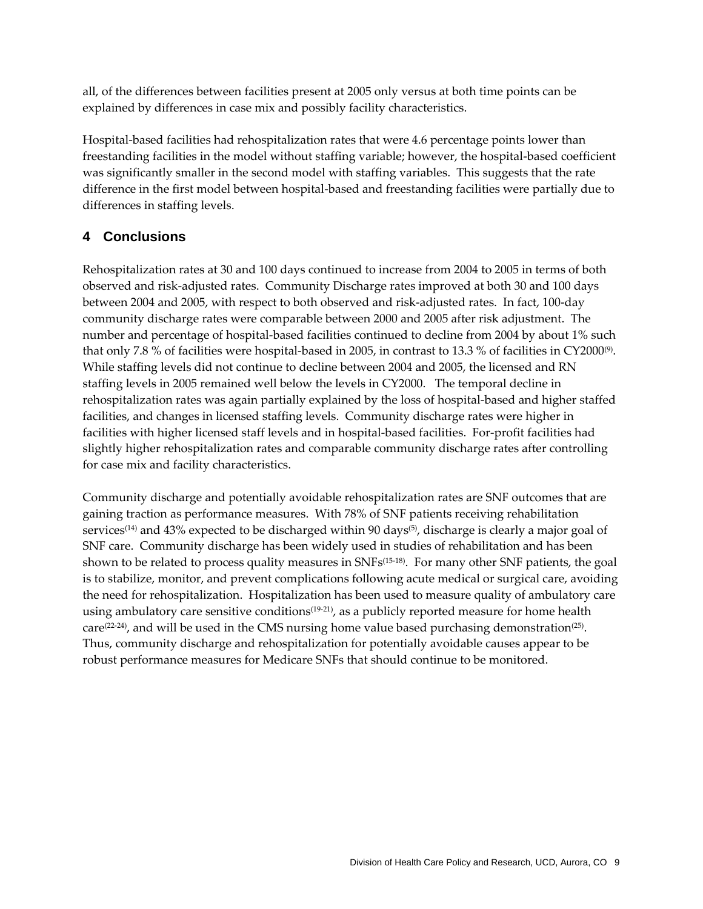all, of the differences between facilities present at 2005 only versus at both time points can be explained by differences in case mix and possibly facility characteristics.

Hospital-based facilities had rehospitalization rates that were 4.6 percentage points lower than freestanding facilities in the model without staffing variable; however, the hospital-based coefficient was significantly smaller in the second model with staffing variables. This suggests that the rate difference in the first model between hospital‐based and freestanding facilities were partially due to differences in staffing levels.

#### **4 Conclusions**

Rehospitalization rates at 30 and 100 days continued to increase from 2004 to 2005 in terms of both observed and risk‐adjusted rates. Community Discharge rates improved at both 30 and 100 days between 2004 and 2005, with respect to both observed and risk‐adjusted rates. In fact, 100‐day community discharge rates were comparable between 2000 and 2005 after risk adjustment. The number and percentage of hospital‐based facilities continued to decline from 2004 by about 1% such that only 7.8 % of facilities were hospital-based in 2005, in contrast to 13.3 % of facilities in CY2000 $\degree$ ). While staffing levels did not continue to decline between 2004 and 2005, the licensed and RN staffing levels in 2005 remained well below the levels in CY2000. The temporal decline in rehospitalization rates was again partially explained by the loss of hospital‐based and higher staffed facilities, and changes in licensed staffing levels. Community discharge rates were higher in facilities with higher licensed staff levels and in hospital-based facilities. For-profit facilities had slightly higher rehospitalization rates and comparable community discharge rates after controlling for case mix and facility characteristics.

Community discharge and potentially avoidable rehospitalization rates are SNF outcomes that are gaining traction as performance measures. With 78% of SNF patients receiving rehabilitation services<sup>(14)</sup> and 43% expected to be discharged within 90 days<sup>(5)</sup>, discharge is clearly a major goal of SNF care. Community discharge has been widely used in studies of rehabilitation and has been shown to be related to process quality measures in SNFs<sup>(15-18)</sup>. For many other SNF patients, the goal is to stabilize, monitor, and prevent complications following acute medical or surgical care, avoiding the need for rehospitalization. Hospitalization has been used to measure quality of ambulatory care using ambulatory care sensitive conditions<sup>(19-21)</sup>, as a publicly reported measure for home health care<sup> $(22-24)$ </sup>, and will be used in the CMS nursing home value based purchasing demonstration<sup>(25)</sup>. Thus, community discharge and rehospitalization for potentially avoidable causes appear to be robust performance measures for Medicare SNFs that should continue to be monitored.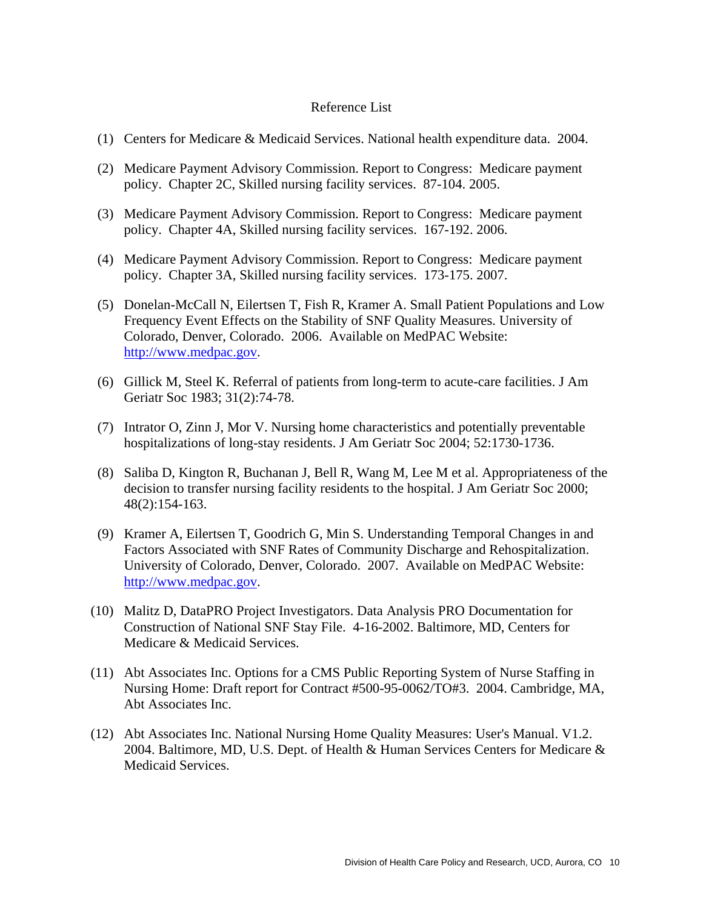#### Reference List

- (1) Centers for Medicare & Medicaid Services. National health expenditure data. 2004.
- (2) Medicare Payment Advisory Commission. Report to Congress: Medicare payment policy. Chapter 2C, Skilled nursing facility services. 87-104. 2005.
- (3) Medicare Payment Advisory Commission. Report to Congress: Medicare payment policy. Chapter 4A, Skilled nursing facility services. 167-192. 2006.
- (4) Medicare Payment Advisory Commission. Report to Congress: Medicare payment policy. Chapter 3A, Skilled nursing facility services. 173-175. 2007.
- (5) Donelan-McCall N, Eilertsen T, Fish R, Kramer A. Small Patient Populations and Low Frequency Event Effects on the Stability of SNF Quality Measures. University of Colorado, Denver, Colorado. 2006. Available on MedPAC Website: http://www.medpac.gov.
- (6) Gillick M, Steel K. Referral of patients from long-term to acute-care facilities. J Am Geriatr Soc 1983; 31(2):74-78.
- (7) Intrator O, Zinn J, Mor V. Nursing home characteristics and potentially preventable hospitalizations of long-stay residents. J Am Geriatr Soc 2004; 52:1730-1736.
- (8) Saliba D, Kington R, Buchanan J, Bell R, Wang M, Lee M et al. Appropriateness of the decision to transfer nursing facility residents to the hospital. J Am Geriatr Soc 2000; 48(2):154-163.
- (9) Kramer A, Eilertsen T, Goodrich G, Min S. Understanding Temporal Changes in and Factors Associated with SNF Rates of Community Discharge and Rehospitalization. University of Colorado, Denver, Colorado. 2007. Available on MedPAC Website: http://www.medpac.gov.
- (10) Malitz D, DataPRO Project Investigators. Data Analysis PRO Documentation for Construction of National SNF Stay File. 4-16-2002. Baltimore, MD, Centers for Medicare & Medicaid Services.
- (11) Abt Associates Inc. Options for a CMS Public Reporting System of Nurse Staffing in Nursing Home: Draft report for Contract #500-95-0062/TO#3. 2004. Cambridge, MA, Abt Associates Inc.
- (12) Abt Associates Inc. National Nursing Home Quality Measures: User's Manual. V1.2. 2004. Baltimore, MD, U.S. Dept. of Health & Human Services Centers for Medicare & Medicaid Services.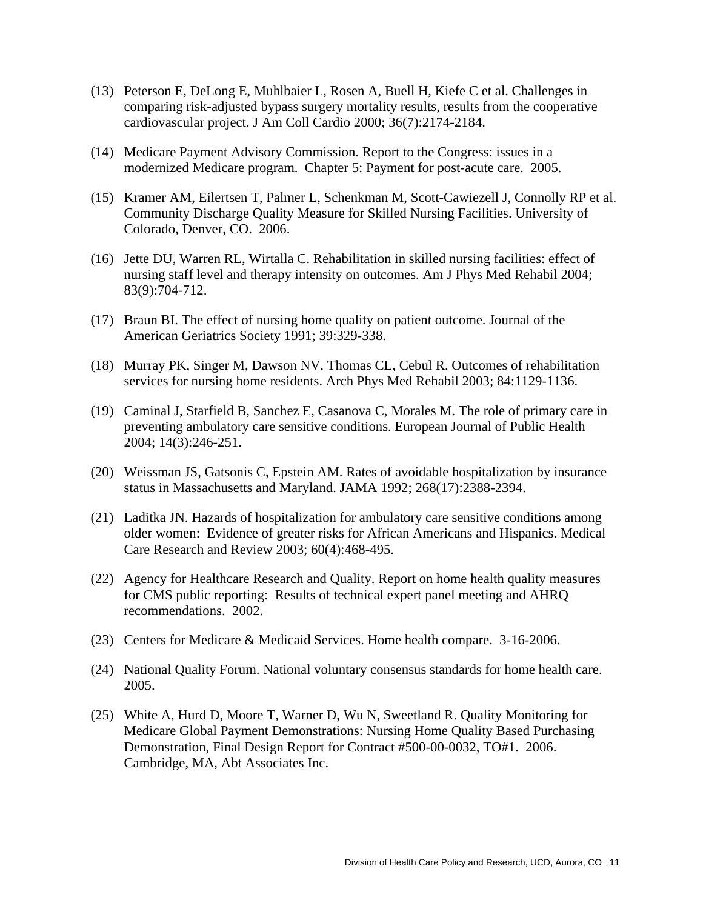- (13) Peterson E, DeLong E, Muhlbaier L, Rosen A, Buell H, Kiefe C et al. Challenges in comparing risk-adjusted bypass surgery mortality results, results from the cooperative cardiovascular project. J Am Coll Cardio 2000; 36(7):2174-2184.
- (14) Medicare Payment Advisory Commission. Report to the Congress: issues in a modernized Medicare program. Chapter 5: Payment for post-acute care. 2005.
- (15) Kramer AM, Eilertsen T, Palmer L, Schenkman M, Scott-Cawiezell J, Connolly RP et al. Community Discharge Quality Measure for Skilled Nursing Facilities. University of Colorado, Denver, CO. 2006.
- (16) Jette DU, Warren RL, Wirtalla C. Rehabilitation in skilled nursing facilities: effect of nursing staff level and therapy intensity on outcomes. Am J Phys Med Rehabil 2004; 83(9):704-712.
- (17) Braun BI. The effect of nursing home quality on patient outcome. Journal of the American Geriatrics Society 1991; 39:329-338.
- (18) Murray PK, Singer M, Dawson NV, Thomas CL, Cebul R. Outcomes of rehabilitation services for nursing home residents. Arch Phys Med Rehabil 2003; 84:1129-1136.
- (19) Caminal J, Starfield B, Sanchez E, Casanova C, Morales M. The role of primary care in preventing ambulatory care sensitive conditions. European Journal of Public Health 2004; 14(3):246-251.
- (20) Weissman JS, Gatsonis C, Epstein AM. Rates of avoidable hospitalization by insurance status in Massachusetts and Maryland. JAMA 1992; 268(17):2388-2394.
- (21) Laditka JN. Hazards of hospitalization for ambulatory care sensitive conditions among older women: Evidence of greater risks for African Americans and Hispanics. Medical Care Research and Review 2003; 60(4):468-495.
- (22) Agency for Healthcare Research and Quality. Report on home health quality measures for CMS public reporting: Results of technical expert panel meeting and AHRQ recommendations. 2002.
- (23) Centers for Medicare & Medicaid Services. Home health compare. 3-16-2006.
- (24) National Quality Forum. National voluntary consensus standards for home health care. 2005.
- (25) White A, Hurd D, Moore T, Warner D, Wu N, Sweetland R. Quality Monitoring for Medicare Global Payment Demonstrations: Nursing Home Quality Based Purchasing Demonstration, Final Design Report for Contract #500-00-0032, TO#1. 2006. Cambridge, MA, Abt Associates Inc.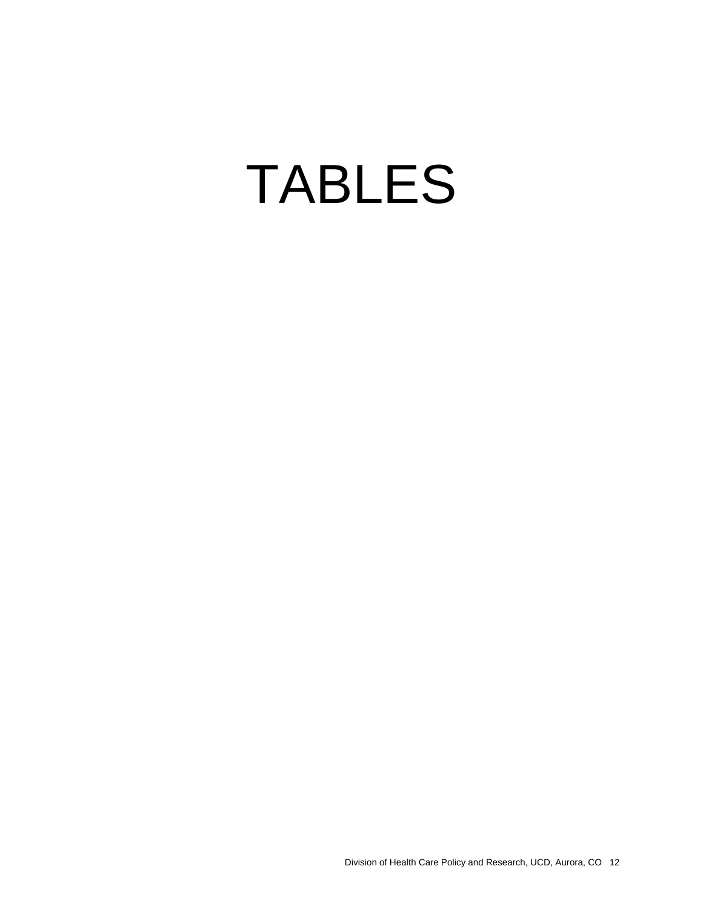# TABLES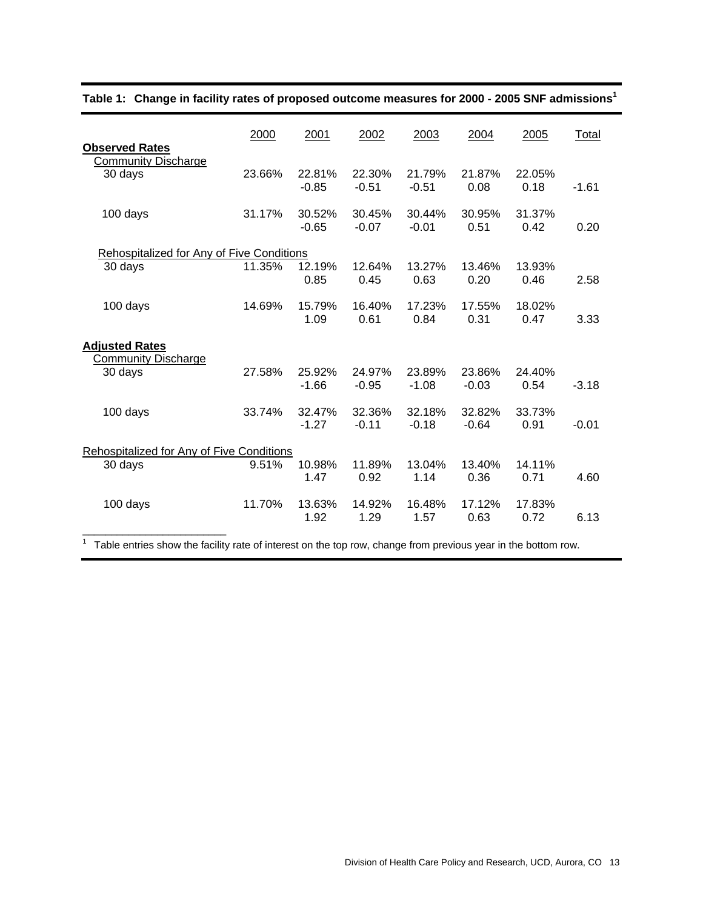| 2000                                 | 2001                       | 2002                                                                                   | 2003              | 2004              | 2005           | Total   |
|--------------------------------------|----------------------------|----------------------------------------------------------------------------------------|-------------------|-------------------|----------------|---------|
| <b>Community Discharge</b><br>23.66% | 22.81%<br>$-0.85$          | 22.30%<br>$-0.51$                                                                      | 21.79%<br>$-0.51$ | 21.87%<br>0.08    | 22.05%<br>0.18 | $-1.61$ |
| 31.17%                               | 30.52%<br>$-0.65$          | 30.45%<br>$-0.07$                                                                      | 30.44%<br>$-0.01$ | 30.95%<br>0.51    | 31.37%<br>0.42 | 0.20    |
|                                      |                            |                                                                                        |                   |                   |                |         |
| 11.35%                               | 12.19%<br>0.85             | 12.64%<br>0.45                                                                         | 13.27%<br>0.63    | 13.46%<br>0.20    | 13.93%<br>0.46 | 2.58    |
| 14.69%                               | 15.79%<br>1.09             | 16.40%<br>0.61                                                                         | 17.23%<br>0.84    | 17.55%<br>0.31    | 18.02%<br>0.47 | 3.33    |
|                                      |                            |                                                                                        |                   |                   |                |         |
| 27.58%                               | 25.92%<br>$-1.66$          | 24.97%<br>$-0.95$                                                                      | 23.89%<br>$-1.08$ | 23.86%<br>$-0.03$ | 24.40%<br>0.54 | $-3.18$ |
| 33.74%                               | 32.47%<br>$-1.27$          | 32.36%<br>$-0.11$                                                                      | 32.18%<br>$-0.18$ | 32.82%<br>$-0.64$ | 33.73%<br>0.91 | $-0.01$ |
|                                      |                            |                                                                                        |                   |                   |                |         |
| 9.51%                                | 10.98%<br>1.47             | 11.89%<br>0.92                                                                         | 13.04%<br>1.14    | 13.40%<br>0.36    | 14.11%<br>0.71 | 4.60    |
| 11.70%                               | 13.63%<br>1.92             | 14.92%<br>1.29                                                                         | 16.48%<br>1.57    | 17.12%<br>0.63    | 17.83%<br>0.72 | 6.13    |
|                                      | <b>Community Discharge</b> | Rehospitalized for Any of Five Conditions<br>Rehospitalized for Any of Five Conditions |                   |                   |                |         |

#### **Table 1: Change in facility rates of proposed outcome measures for 2000 - 2005 SNF admissions1**

 $1$  Table entries show the facility rate of interest on the top row, change from previous year in the bottom row.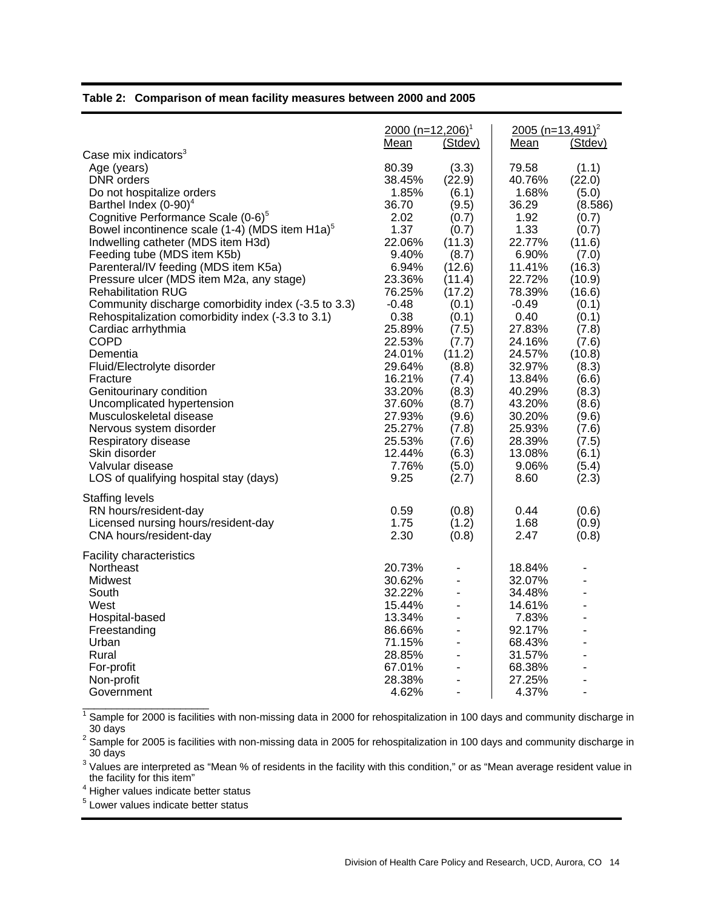#### **Table 2: Comparison of mean facility measures between 2000 and 2005**

|                                                                                                                                                                                                                                                                                                                                                                                                                                                                                                                                                                                                                                                                                                                                                                                                                | 2000 (n=12,206) <sup>1</sup><br>Mean                                                                                                                                                                                                      | (Stdev)                                                                                                                                                                                                                             | 2005 (n=13,491) <sup>2</sup><br>Mean                                                                                                                                                                                                       | (Stdev)                                                                                                                                                                                                                               |
|----------------------------------------------------------------------------------------------------------------------------------------------------------------------------------------------------------------------------------------------------------------------------------------------------------------------------------------------------------------------------------------------------------------------------------------------------------------------------------------------------------------------------------------------------------------------------------------------------------------------------------------------------------------------------------------------------------------------------------------------------------------------------------------------------------------|-------------------------------------------------------------------------------------------------------------------------------------------------------------------------------------------------------------------------------------------|-------------------------------------------------------------------------------------------------------------------------------------------------------------------------------------------------------------------------------------|--------------------------------------------------------------------------------------------------------------------------------------------------------------------------------------------------------------------------------------------|---------------------------------------------------------------------------------------------------------------------------------------------------------------------------------------------------------------------------------------|
| Case mix indicators <sup>3</sup><br>Age (years)<br>DNR orders<br>Do not hospitalize orders<br>Barthel Index $(0-90)^4$<br>Cognitive Performance Scale (0-6) <sup>5</sup><br>Bowel incontinence scale (1-4) (MDS item H1a) <sup>5</sup><br>Indwelling catheter (MDS item H3d)<br>Feeding tube (MDS item K5b)<br>Parenteral/IV feeding (MDS item K5a)<br>Pressure ulcer (MDS item M2a, any stage)<br><b>Rehabilitation RUG</b><br>Community discharge comorbidity index (-3.5 to 3.3)<br>Rehospitalization comorbidity index (-3.3 to 3.1)<br>Cardiac arrhythmia<br><b>COPD</b><br>Dementia<br>Fluid/Electrolyte disorder<br>Fracture<br>Genitourinary condition<br>Uncomplicated hypertension<br>Musculoskeletal disease<br>Nervous system disorder<br>Respiratory disease<br>Skin disorder<br>Valvular disease | 80.39<br>38.45%<br>1.85%<br>36.70<br>2.02<br>1.37<br>22.06%<br>9.40%<br>6.94%<br>23.36%<br>76.25%<br>-0.48<br>0.38<br>25.89%<br>22.53%<br>24.01%<br>29.64%<br>16.21%<br>33.20%<br>37.60%<br>27.93%<br>25.27%<br>25.53%<br>12.44%<br>7.76% | (3.3)<br>(22.9)<br>(6.1)<br>(9.5)<br>(0.7)<br>(0.7)<br>(11.3)<br>(8.7)<br>(12.6)<br>(11.4)<br>(17.2)<br>(0.1)<br>(0.1)<br>(7.5)<br>(7.7)<br>(11.2)<br>(8.8)<br>(7.4)<br>(8.3)<br>(8.7)<br>(9.6)<br>(7.8)<br>(7.6)<br>(6.3)<br>(5.0) | 79.58<br>40.76%<br>1.68%<br>36.29<br>1.92<br>1.33<br>22.77%<br>6.90%<br>11.41%<br>22.72%<br>78.39%<br>-0.49<br>0.40<br>27.83%<br>24.16%<br>24.57%<br>32.97%<br>13.84%<br>40.29%<br>43.20%<br>30.20%<br>25.93%<br>28.39%<br>13.08%<br>9.06% | (1.1)<br>(22.0)<br>(5.0)<br>(8.586)<br>(0.7)<br>(0.7)<br>(11.6)<br>(7.0)<br>(16.3)<br>(10.9)<br>(16.6)<br>(0.1)<br>(0.1)<br>(7.8)<br>(7.6)<br>(10.8)<br>(8.3)<br>(6.6)<br>(8.3)<br>(8.6)<br>(9.6)<br>(7.6)<br>(7.5)<br>(6.1)<br>(5.4) |
| LOS of qualifying hospital stay (days)                                                                                                                                                                                                                                                                                                                                                                                                                                                                                                                                                                                                                                                                                                                                                                         | 9.25                                                                                                                                                                                                                                      | (2.7)                                                                                                                                                                                                                               | 8.60                                                                                                                                                                                                                                       | (2.3)                                                                                                                                                                                                                                 |
| <b>Staffing levels</b><br>RN hours/resident-day<br>Licensed nursing hours/resident-day<br>CNA hours/resident-day                                                                                                                                                                                                                                                                                                                                                                                                                                                                                                                                                                                                                                                                                               | 0.59<br>1.75<br>2.30                                                                                                                                                                                                                      | (0.8)<br>(1.2)<br>(0.8)                                                                                                                                                                                                             | 0.44<br>1.68<br>2.47                                                                                                                                                                                                                       | (0.6)<br>(0.9)<br>(0.8)                                                                                                                                                                                                               |
| <b>Facility characteristics</b><br>Northeast<br>Midwest<br>South<br>West<br>Hospital-based<br>Freestanding<br>Urban                                                                                                                                                                                                                                                                                                                                                                                                                                                                                                                                                                                                                                                                                            | 20.73%<br>30.62%<br>32.22%<br>15.44%<br>13.34%<br>86.66%<br>71.15%                                                                                                                                                                        | $\overline{\phantom{a}}$<br>$\blacksquare$<br>$\overline{\phantom{a}}$<br>$\blacksquare$                                                                                                                                            | 18.84%<br>32.07%<br>34.48%<br>14.61%<br>7.83%<br>92.17%<br>68.43%                                                                                                                                                                          | L.<br>÷,<br>$\overline{\phantom{0}}$                                                                                                                                                                                                  |
| Rural<br>For-profit<br>Non-profit<br>Government                                                                                                                                                                                                                                                                                                                                                                                                                                                                                                                                                                                                                                                                                                                                                                | 28.85%<br>67.01%<br>28.38%<br>4.62%                                                                                                                                                                                                       | $\blacksquare$<br>$\overline{a}$                                                                                                                                                                                                    | 31.57%<br>68.38%<br>27.25%<br>4.37%                                                                                                                                                                                                        | $\overline{\phantom{0}}$<br>٠                                                                                                                                                                                                         |

<sup>1</sup> Sample for 2000 is facilities with non-missing data in 2000 for rehospitalization in 100 days and community discharge in \_30 days<br><sup>2</sup> Sample for 2005 is facilities with non-missing data in 2005 for rehospitalization in 100 days and community discharge in

30 days

 $3$  Values are interpreted as "Mean % of residents in the facility with this condition," or as "Mean average resident value in the facility for this item"

<sup>4</sup> Higher values indicate better status

 $\overline{\phantom{a}}$  , and the set of the set of the set of the set of the set of the set of the set of the set of the set of the set of the set of the set of the set of the set of the set of the set of the set of the set of the s

<sup>5</sup> Lower values indicate better status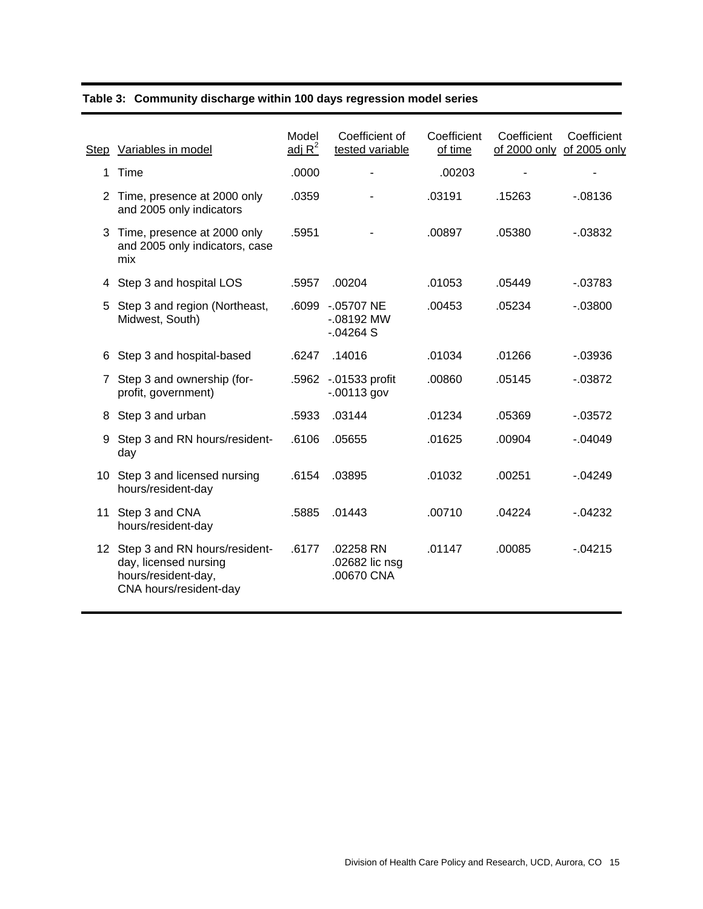|  |  |  |  | Table 3: Community discharge within 100 days regression model series |
|--|--|--|--|----------------------------------------------------------------------|
|--|--|--|--|----------------------------------------------------------------------|

| Step | Variables in model                                                                                         | Model<br>adj $R^2$ | Coefficient of<br>tested variable            | Coefficient<br>of time | Coefficient<br>of 2000 only of 2005 only | Coefficient |
|------|------------------------------------------------------------------------------------------------------------|--------------------|----------------------------------------------|------------------------|------------------------------------------|-------------|
| 1    | Time                                                                                                       | .0000              |                                              | .00203                 |                                          |             |
|      | 2 Time, presence at 2000 only<br>and 2005 only indicators                                                  | .0359              |                                              | .03191                 | .15263                                   | $-08136$    |
| 3    | Time, presence at 2000 only<br>and 2005 only indicators, case<br>mix                                       | .5951              |                                              | .00897                 | .05380                                   | $-0.03832$  |
| 4    | Step 3 and hospital LOS                                                                                    | .5957              | .00204                                       | .01053                 | .05449                                   | $-03783$    |
| 5    | Step 3 and region (Northeast,<br>Midwest, South)                                                           |                    | .6099 -.05707 NE<br>$-08192$ MW<br>$-04264S$ | .00453                 | .05234                                   | $-03800$    |
| 6    | Step 3 and hospital-based                                                                                  | .6247              | .14016                                       | .01034                 | .01266                                   | $-03936$    |
| 7    | Step 3 and ownership (for-<br>profit, government)                                                          |                    | .5962 -.01533 profit<br>$-00113$ gov         | .00860                 | .05145                                   | $-0.03872$  |
| 8    | Step 3 and urban                                                                                           | .5933              | .03144                                       | .01234                 | .05369                                   | $-0.03572$  |
| 9    | Step 3 and RN hours/resident-<br>day                                                                       | .6106              | .05655                                       | .01625                 | .00904                                   | $-0.04049$  |
|      | 10 Step 3 and licensed nursing<br>hours/resident-day                                                       | .6154              | .03895                                       | .01032                 | .00251                                   | $-04249$    |
| 11   | Step 3 and CNA<br>hours/resident-day                                                                       | .5885              | .01443                                       | .00710                 | .04224                                   | $-04232$    |
|      | 12 Step 3 and RN hours/resident-<br>day, licensed nursing<br>hours/resident-day,<br>CNA hours/resident-day | .6177              | .02258 RN<br>.02682 lic nsg<br>.00670 CNA    | .01147                 | .00085                                   | $-04215$    |
|      |                                                                                                            |                    |                                              |                        |                                          |             |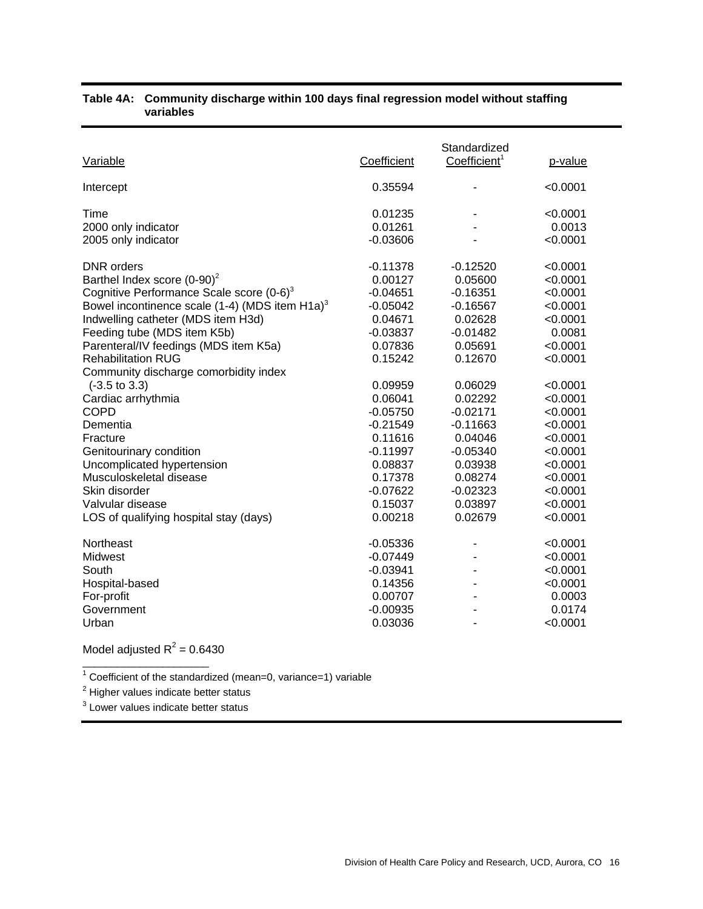| Variable                                                                                                                                                                                                                                                                                                                                                                                                                                                                                                                                                                                                            | Coefficient                                                                                                                                                                                                                           | Standardized<br>Coefficient <sup>1</sup>                                                                                                                                                                                              | p-value                                                                                                                                                                                                                        |
|---------------------------------------------------------------------------------------------------------------------------------------------------------------------------------------------------------------------------------------------------------------------------------------------------------------------------------------------------------------------------------------------------------------------------------------------------------------------------------------------------------------------------------------------------------------------------------------------------------------------|---------------------------------------------------------------------------------------------------------------------------------------------------------------------------------------------------------------------------------------|---------------------------------------------------------------------------------------------------------------------------------------------------------------------------------------------------------------------------------------|--------------------------------------------------------------------------------------------------------------------------------------------------------------------------------------------------------------------------------|
| Intercept                                                                                                                                                                                                                                                                                                                                                                                                                                                                                                                                                                                                           | 0.35594                                                                                                                                                                                                                               |                                                                                                                                                                                                                                       | < 0.0001                                                                                                                                                                                                                       |
| Time<br>2000 only indicator<br>2005 only indicator                                                                                                                                                                                                                                                                                                                                                                                                                                                                                                                                                                  | 0.01235<br>0.01261<br>$-0.03606$                                                                                                                                                                                                      |                                                                                                                                                                                                                                       | < 0.0001<br>0.0013<br>< 0.0001                                                                                                                                                                                                 |
| <b>DNR</b> orders<br>Barthel Index score $(0-90)^2$<br>Cognitive Performance Scale score $(0-6)^3$<br>Bowel incontinence scale (1-4) (MDS item $H1a$ ) <sup>3</sup><br>Indwelling catheter (MDS item H3d)<br>Feeding tube (MDS item K5b)<br>Parenteral/IV feedings (MDS item K5a)<br><b>Rehabilitation RUG</b><br>Community discharge comorbidity index<br>$(-3.5 \text{ to } 3.3)$<br>Cardiac arrhythmia<br><b>COPD</b><br>Dementia<br>Fracture<br>Genitourinary condition<br>Uncomplicated hypertension<br>Musculoskeletal disease<br>Skin disorder<br>Valvular disease<br>LOS of qualifying hospital stay (days) | $-0.11378$<br>0.00127<br>$-0.04651$<br>$-0.05042$<br>0.04671<br>$-0.03837$<br>0.07836<br>0.15242<br>0.09959<br>0.06041<br>$-0.05750$<br>$-0.21549$<br>0.11616<br>$-0.11997$<br>0.08837<br>0.17378<br>$-0.07622$<br>0.15037<br>0.00218 | $-0.12520$<br>0.05600<br>$-0.16351$<br>$-0.16567$<br>0.02628<br>$-0.01482$<br>0.05691<br>0.12670<br>0.06029<br>0.02292<br>$-0.02171$<br>$-0.11663$<br>0.04046<br>$-0.05340$<br>0.03938<br>0.08274<br>$-0.02323$<br>0.03897<br>0.02679 | < 0.0001<br>< 0.0001<br>< 0.0001<br>< 0.0001<br>< 0.0001<br>0.0081<br>< 0.0001<br>< 0.0001<br>< 0.0001<br>< 0.0001<br>< 0.0001<br>< 0.0001<br>< 0.0001<br>< 0.0001<br>< 0.0001<br>< 0.0001<br>< 0.0001<br>< 0.0001<br>< 0.0001 |
| Northeast<br>Midwest<br>South<br>Hospital-based<br>For-profit<br>Government<br>Urban                                                                                                                                                                                                                                                                                                                                                                                                                                                                                                                                | $-0.05336$<br>$-0.07449$<br>$-0.03941$<br>0.14356<br>0.00707<br>$-0.00935$<br>0.03036                                                                                                                                                 |                                                                                                                                                                                                                                       | < 0.0001<br>< 0.0001<br>< 0.0001<br>< 0.0001<br>0.0003<br>0.0174<br>< 0.0001                                                                                                                                                   |

#### **Table 4A: Community discharge within 100 days final regression model without staffing variables**

Model adjusted  $R^2$  = 0.6430  $\overline{\phantom{a}}$  , and the set of the set of the set of the set of the set of the set of the set of the set of the set of the set of the set of the set of the set of the set of the set of the set of the set of the set of the s

<sup>1</sup> Coefficient of the standardized (mean=0, variance=1) variable  $2\frac{2}{3}$  Higher values indicate better atatue.

 $2$  Higher values indicate better status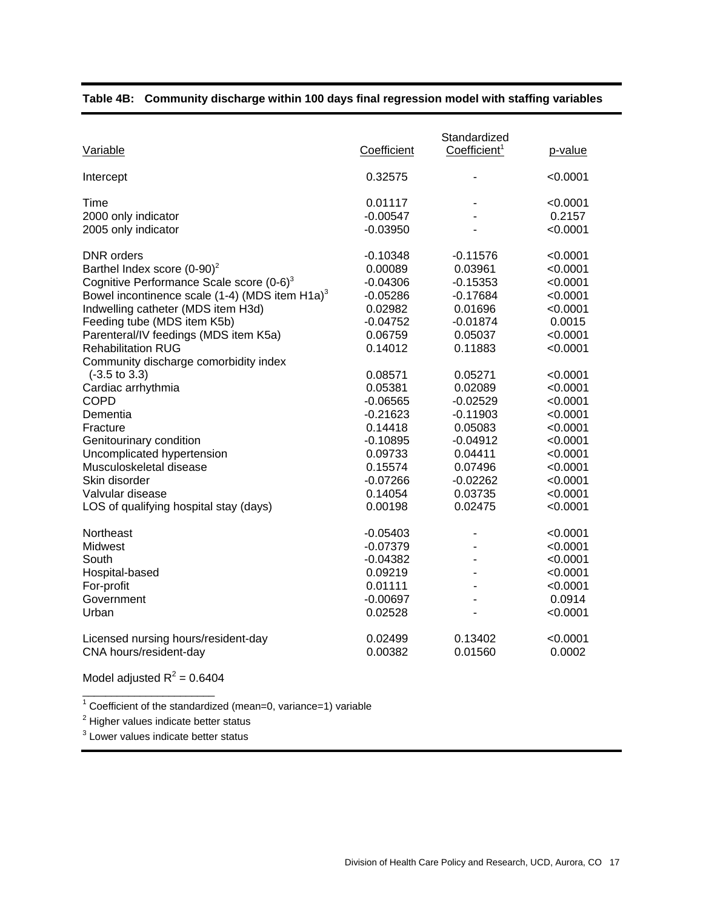| Variable                                                                                                                                                                                                                                                                                                                                                                                                                                                                                                                                                                                                                  | Coefficient                                                                                                                                                                                                                           | Standardized<br>Coefficient <sup>1</sup>                                                                                                                                                                                          | p-value                                                                                                                                                                                                                          |
|---------------------------------------------------------------------------------------------------------------------------------------------------------------------------------------------------------------------------------------------------------------------------------------------------------------------------------------------------------------------------------------------------------------------------------------------------------------------------------------------------------------------------------------------------------------------------------------------------------------------------|---------------------------------------------------------------------------------------------------------------------------------------------------------------------------------------------------------------------------------------|-----------------------------------------------------------------------------------------------------------------------------------------------------------------------------------------------------------------------------------|----------------------------------------------------------------------------------------------------------------------------------------------------------------------------------------------------------------------------------|
| Intercept                                                                                                                                                                                                                                                                                                                                                                                                                                                                                                                                                                                                                 | 0.32575                                                                                                                                                                                                                               |                                                                                                                                                                                                                                   | < 0.0001                                                                                                                                                                                                                         |
| Time<br>2000 only indicator<br>2005 only indicator                                                                                                                                                                                                                                                                                                                                                                                                                                                                                                                                                                        | 0.01117<br>$-0.00547$<br>$-0.03950$                                                                                                                                                                                                   |                                                                                                                                                                                                                                   | < 0.0001<br>0.2157<br>< 0.0001                                                                                                                                                                                                   |
| <b>DNR</b> orders<br>Barthel Index score $(0-90)^2$<br>Cognitive Performance Scale score (0-6) <sup>3</sup><br>Bowel incontinence scale (1-4) (MDS item H1a) <sup>3</sup><br>Indwelling catheter (MDS item H3d)<br>Feeding tube (MDS item K5b)<br>Parenteral/IV feedings (MDS item K5a)<br><b>Rehabilitation RUG</b><br>Community discharge comorbidity index<br>$(-3.5 \text{ to } 3.3)$<br>Cardiac arrhythmia<br><b>COPD</b><br>Dementia<br>Fracture<br>Genitourinary condition<br>Uncomplicated hypertension<br>Musculoskeletal disease<br>Skin disorder<br>Valvular disease<br>LOS of qualifying hospital stay (days) | $-0.10348$<br>0.00089<br>$-0.04306$<br>$-0.05286$<br>0.02982<br>$-0.04752$<br>0.06759<br>0.14012<br>0.08571<br>0.05381<br>$-0.06565$<br>$-0.21623$<br>0.14418<br>$-0.10895$<br>0.09733<br>0.15574<br>$-0.07266$<br>0.14054<br>0.00198 | -0.11576<br>0.03961<br>$-0.15353$<br>$-0.17684$<br>0.01696<br>$-0.01874$<br>0.05037<br>0.11883<br>0.05271<br>0.02089<br>$-0.02529$<br>$-0.11903$<br>0.05083<br>-0.04912<br>0.04411<br>0.07496<br>$-0.02262$<br>0.03735<br>0.02475 | < 0.0001<br>< 0.0001<br>< 0.0001<br>< 0.0001<br>< 0.0001<br>0.0015<br>< 0.0001<br>< 0.0001<br>< 0.0001<br>< 0.0001<br>< 0.0001<br>< 0.0001<br>< 0.0001<br>$<$ 0.0001<br>< 0.0001<br>< 0.0001<br>< 0.0001<br>< 0.0001<br>< 0.0001 |
| Northeast<br>Midwest<br>South<br>Hospital-based<br>For-profit<br>Government<br>Urban<br>Licensed nursing hours/resident-day<br>CNA hours/resident-day                                                                                                                                                                                                                                                                                                                                                                                                                                                                     | $-0.05403$<br>$-0.07379$<br>$-0.04382$<br>0.09219<br>0.01111<br>$-0.00697$<br>0.02528<br>0.02499<br>0.00382                                                                                                                           | $\blacksquare$<br>$\blacksquare$<br>0.13402<br>0.01560                                                                                                                                                                            | < 0.0001<br>< 0.0001<br>< 0.0001<br>< 0.0001<br>< 0.0001<br>0.0914<br>< 0.0001<br>< 0.0001<br>0.0002                                                                                                                             |

#### **Table 4B: Community discharge within 100 days final regression model with staffing variables**

Model adjusted  $R^2$  = 0.6404 \_\_\_\_\_\_\_\_\_\_\_\_\_\_\_\_\_\_\_\_\_\_\_

<sup>1</sup> Coefficient of the standardized (mean=0, variance=1) variable  $2$  Uigher values indicate better atatue.

<sup>2</sup> Higher values indicate better status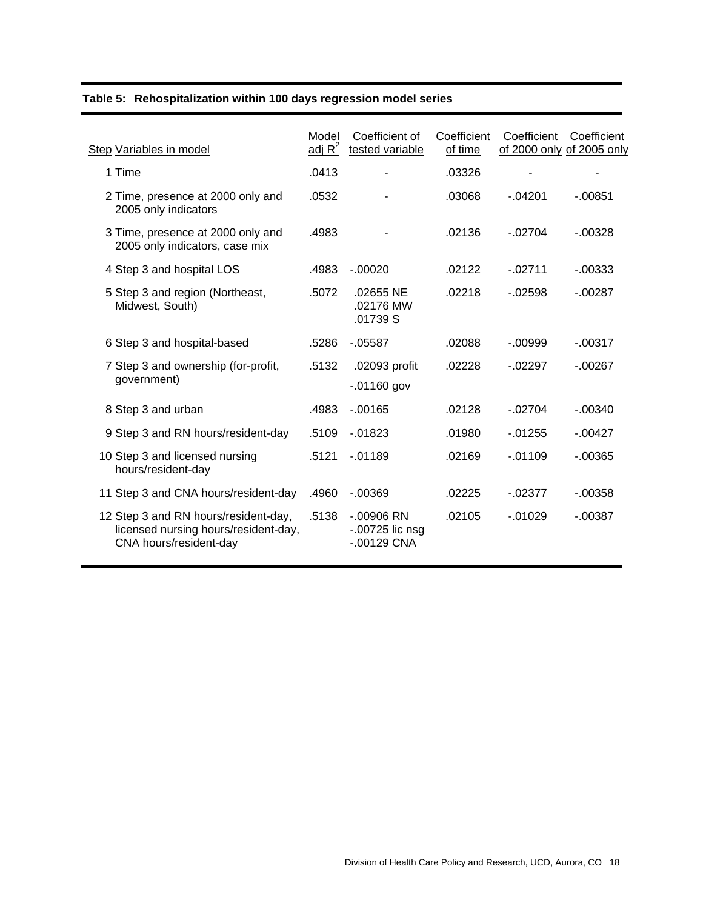|  |  | Table 5: Rehospitalization within 100 days regression model series |  |  |  |  |  |  |
|--|--|--------------------------------------------------------------------|--|--|--|--|--|--|
|--|--|--------------------------------------------------------------------|--|--|--|--|--|--|

| Step Variables in model                                                                                | Model<br>adj $R^2$ | Coefficient of<br>tested variable                | Coefficient<br>of time | Coefficient<br>of 2000 only of 2005 only | Coefficient |
|--------------------------------------------------------------------------------------------------------|--------------------|--------------------------------------------------|------------------------|------------------------------------------|-------------|
| 1 Time                                                                                                 | .0413              |                                                  | .03326                 |                                          |             |
| 2 Time, presence at 2000 only and<br>2005 only indicators                                              | .0532              |                                                  | .03068                 | $-04201$                                 | $-0.00851$  |
| 3 Time, presence at 2000 only and<br>2005 only indicators, case mix                                    | .4983              |                                                  | .02136                 | $-02704$                                 | $-0.00328$  |
| 4 Step 3 and hospital LOS                                                                              | .4983              | $-.00020$                                        | .02122                 | $-02711$                                 | $-0.00333$  |
| 5 Step 3 and region (Northeast,<br>Midwest, South)                                                     | .5072              | .02655 NE<br>.02176 MW<br>.01739 S               | .02218                 | $-02598$                                 | $-00287$    |
| 6 Step 3 and hospital-based                                                                            | .5286              | $-0.05587$                                       | .02088                 | $-0.09999$                               | $-0.00317$  |
| 7 Step 3 and ownership (for-profit,<br>government)                                                     | .5132              | .02093 profit<br>$-01160$ gov                    | .02228                 | $-02297$                                 | $-0.00267$  |
| 8 Step 3 and urban                                                                                     | .4983              | $-00165$                                         | .02128                 | $-02704$                                 | $-.00340$   |
| 9 Step 3 and RN hours/resident-day                                                                     | .5109              | $-0.01823$                                       | .01980                 | $-0.01255$                               | $-0.00427$  |
| 10 Step 3 and licensed nursing<br>hours/resident-day                                                   | .5121              | $-0.01189$                                       | .02169                 | $-0.01109$                               | $-00365$    |
| 11 Step 3 and CNA hours/resident-day                                                                   | .4960              | $-0.00369$                                       | .02225                 | $-02377$                                 | $-0.00358$  |
| 12 Step 3 and RN hours/resident-day,<br>licensed nursing hours/resident-day,<br>CNA hours/resident-day | .5138              | $-.00906$ RN<br>$-00725$ lic nsg<br>$-00129$ CNA | .02105                 | $-0.01029$                               | $-0.00387$  |
|                                                                                                        |                    |                                                  |                        |                                          |             |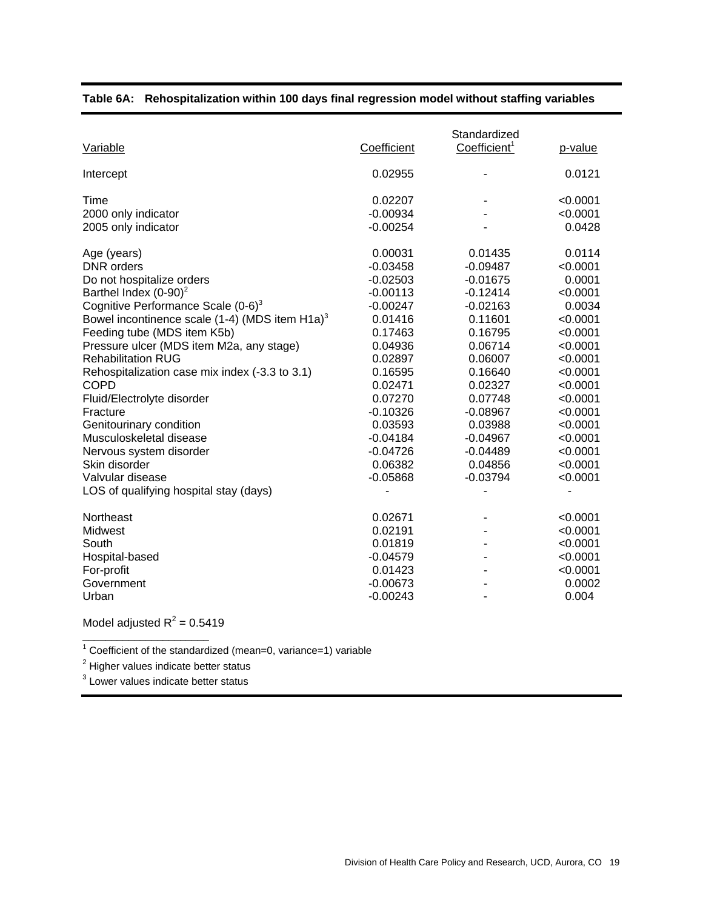| Variable                                                                                                                                                                                                                                                                                                                                                                                                                                                                                                                                                                               | Coefficient                                                                                                                                                                                                                | Standardized<br>Coefficient <sup>1</sup>                                                                                                                                                                                   | p-value                                                                                                                                                                                                        |
|----------------------------------------------------------------------------------------------------------------------------------------------------------------------------------------------------------------------------------------------------------------------------------------------------------------------------------------------------------------------------------------------------------------------------------------------------------------------------------------------------------------------------------------------------------------------------------------|----------------------------------------------------------------------------------------------------------------------------------------------------------------------------------------------------------------------------|----------------------------------------------------------------------------------------------------------------------------------------------------------------------------------------------------------------------------|----------------------------------------------------------------------------------------------------------------------------------------------------------------------------------------------------------------|
| Intercept                                                                                                                                                                                                                                                                                                                                                                                                                                                                                                                                                                              | 0.02955                                                                                                                                                                                                                    |                                                                                                                                                                                                                            | 0.0121                                                                                                                                                                                                         |
| Time<br>2000 only indicator<br>2005 only indicator                                                                                                                                                                                                                                                                                                                                                                                                                                                                                                                                     | 0.02207<br>$-0.00934$<br>$-0.00254$                                                                                                                                                                                        |                                                                                                                                                                                                                            | < 0.0001<br>< 0.0001<br>0.0428                                                                                                                                                                                 |
| Age (years)<br><b>DNR</b> orders<br>Do not hospitalize orders<br>Barthel Index $(0-90)^2$<br>Cognitive Performance Scale $(0-6)^3$<br>Bowel incontinence scale (1-4) (MDS item $H1a$ ) <sup>3</sup><br>Feeding tube (MDS item K5b)<br>Pressure ulcer (MDS item M2a, any stage)<br><b>Rehabilitation RUG</b><br>Rehospitalization case mix index (-3.3 to 3.1)<br><b>COPD</b><br>Fluid/Electrolyte disorder<br>Fracture<br>Genitourinary condition<br>Musculoskeletal disease<br>Nervous system disorder<br>Skin disorder<br>Valvular disease<br>LOS of qualifying hospital stay (days) | 0.00031<br>$-0.03458$<br>$-0.02503$<br>$-0.00113$<br>$-0.00247$<br>0.01416<br>0.17463<br>0.04936<br>0.02897<br>0.16595<br>0.02471<br>0.07270<br>$-0.10326$<br>0.03593<br>$-0.04184$<br>$-0.04726$<br>0.06382<br>$-0.05868$ | 0.01435<br>$-0.09487$<br>$-0.01675$<br>$-0.12414$<br>$-0.02163$<br>0.11601<br>0.16795<br>0.06714<br>0.06007<br>0.16640<br>0.02327<br>0.07748<br>$-0.08967$<br>0.03988<br>$-0.04967$<br>$-0.04489$<br>0.04856<br>$-0.03794$ | 0.0114<br>< 0.0001<br>0.0001<br>< 0.0001<br>0.0034<br>< 0.0001<br>< 0.0001<br>< 0.0001<br>< 0.0001<br>< 0.0001<br>< 0.0001<br>< 0.0001<br>< 0.0001<br>< 0.0001<br>< 0.0001<br>< 0.0001<br>< 0.0001<br>< 0.0001 |
| Northeast<br>Midwest<br>South<br>Hospital-based<br>For-profit<br>Government<br>Urban                                                                                                                                                                                                                                                                                                                                                                                                                                                                                                   | 0.02671<br>0.02191<br>0.01819<br>$-0.04579$<br>0.01423<br>$-0.00673$<br>$-0.00243$                                                                                                                                         |                                                                                                                                                                                                                            | < 0.0001<br>< 0.0001<br>< 0.0001<br>< 0.0001<br>< 0.0001<br>0.0002<br>0.004                                                                                                                                    |

#### **Table 6A: Rehospitalization within 100 days final regression model without staffing variables**

Model adjusted  $R^2$  = 0.5419  $\overline{\phantom{a}}$  , and the set of the set of the set of the set of the set of the set of the set of the set of the set of the set of the set of the set of the set of the set of the set of the set of the set of the set of the s

<sup>1</sup> Coefficient of the standardized (mean=0, variance=1) variable  $2\overline{)}$  Ligher values indicate better atatue.

 $2$  Higher values indicate better status